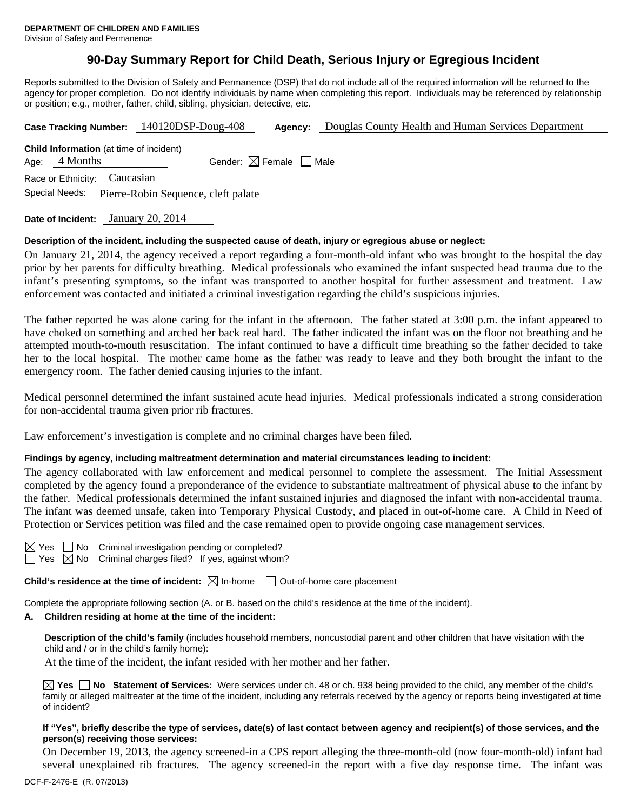## **90-Day Summary Report for Child Death, Serious Injury or Egregious Incident**

Reports submitted to the Division of Safety and Permanence (DSP) that do not include all of the required information will be returned to the agency for proper completion. Do not identify individuals by name when completing this report. Individuals may be referenced by relationship or position; e.g., mother, father, child, sibling, physician, detective, etc.

|                                                       |                                                                   | Case Tracking Number: 140120DSP-Doug-408 | Agency: | Douglas County Health and Human Services Department |  |  |  |
|-------------------------------------------------------|-------------------------------------------------------------------|------------------------------------------|---------|-----------------------------------------------------|--|--|--|
|                                                       | <b>Child Information</b> (at time of incident)<br>Age: $4$ Months | Gender: $\boxtimes$ Female $\Box$ Male   |         |                                                     |  |  |  |
| Race or Ethnicity: Caucasian                          |                                                                   |                                          |         |                                                     |  |  |  |
| Special Needs:<br>Pierre-Robin Sequence, cleft palate |                                                                   |                                          |         |                                                     |  |  |  |
|                                                       |                                                                   |                                          |         |                                                     |  |  |  |

**Date of Incident:** January 20, 2014

## **Description of the incident, including the suspected cause of death, injury or egregious abuse or neglect:**

On January 21, 2014, the agency received a report regarding a four-month-old infant who was brought to the hospital the day prior by her parents for difficulty breathing. Medical professionals who examined the infant suspected head trauma due to the infant's presenting symptoms, so the infant was transported to another hospital for further assessment and treatment. Law enforcement was contacted and initiated a criminal investigation regarding the child's suspicious injuries.

The father reported he was alone caring for the infant in the afternoon. The father stated at 3:00 p.m. the infant appeared to have choked on something and arched her back real hard. The father indicated the infant was on the floor not breathing and he attempted mouth-to-mouth resuscitation. The infant continued to have a difficult time breathing so the father decided to take her to the local hospital. The mother came home as the father was ready to leave and they both brought the infant to the emergency room. The father denied causing injuries to the infant.

Medical personnel determined the infant sustained acute head injuries. Medical professionals indicated a strong consideration for non-accidental trauma given prior rib fractures.

Law enforcement's investigation is complete and no criminal charges have been filed.

#### **Findings by agency, including maltreatment determination and material circumstances leading to incident:**

The agency collaborated with law enforcement and medical personnel to complete the assessment. The Initial Assessment completed by the agency found a preponderance of the evidence to substantiate maltreatment of physical abuse to the infant by the father. Medical professionals determined the infant sustained injuries and diagnosed the infant with non-accidental trauma. The infant was deemed unsafe, taken into Temporary Physical Custody, and placed in out-of-home care. A Child in Need of Protection or Services petition was filed and the case remained open to provide ongoing case management services.

| 55. |  |
|-----|--|
|     |  |

No Criminal investigation pending or completed? No Criminal charges filed? If yes, against whom?

**Child's residence at the time of incident:**  $\boxtimes$  In-home  $\Box$  Out-of-home care placement

Complete the appropriate following section (A. or B. based on the child's residence at the time of the incident).

#### **A. Children residing at home at the time of the incident:**

**Description of the child's family** (includes household members, noncustodial parent and other children that have visitation with the child and / or in the child's family home):

At the time of the incident, the infant resided with her mother and her father.

**Yes No Statement of Services:** Were services under ch. 48 or ch. 938 being provided to the child, any member of the child's family or alleged maltreater at the time of the incident, including any referrals received by the agency or reports being investigated at time of incident?

#### **If "Yes", briefly describe the type of services, date(s) of last contact between agency and recipient(s) of those services, and the person(s) receiving those services:**

On December 19, 2013, the agency screened-in a CPS report alleging the three-month-old (now four-month-old) infant had several unexplained rib fractures. The agency screened-in the report with a five day response time. The infant was